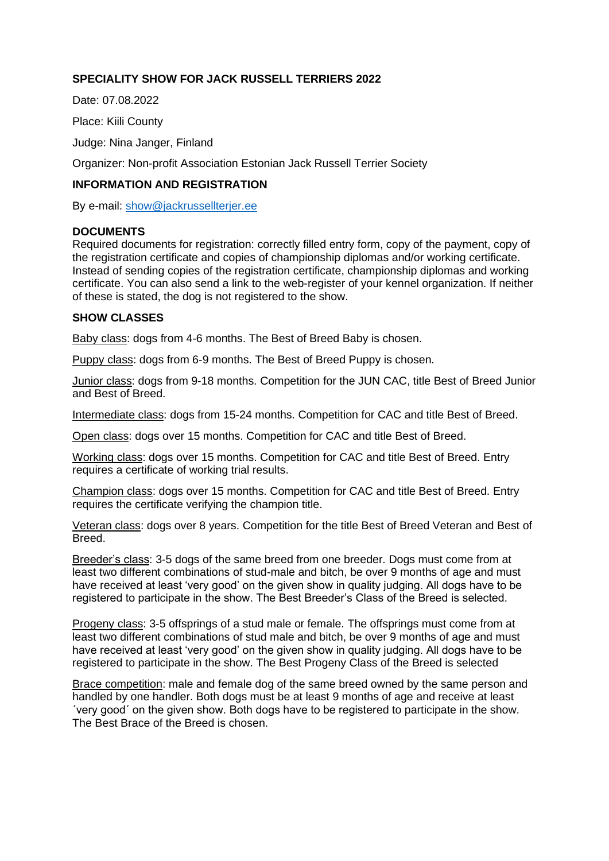# **SPECIALITY SHOW FOR JACK RUSSELL TERRIERS 2022**

Date: 07.08.2022

Place: Kiili County

Judge: Nina Janger, Finland

Organizer: Non-profit Association Estonian Jack Russell Terrier Society

### **INFORMATION AND REGISTRATION**

By e-mail: [show@jackrussellterjer.ee](mailto:show@jackrussellterjer.ee)

#### **DOCUMENTS**

Required documents for registration: correctly filled entry form, copy of the payment, copy of the registration certificate and copies of championship diplomas and/or working certificate. Instead of sending copies of the registration certificate, championship diplomas and working certificate. You can also send a link to the web-register of your kennel organization. If neither of these is stated, the dog is not registered to the show.

#### **SHOW CLASSES**

Baby class: dogs from 4-6 months. The Best of Breed Baby is chosen.

Puppy class: dogs from 6-9 months. The Best of Breed Puppy is chosen.

Junior class: dogs from 9-18 months. Competition for the JUN CAC, title Best of Breed Junior and Best of Breed.

Intermediate class: dogs from 15-24 months. Competition for CAC and title Best of Breed.

Open class: dogs over 15 months. Competition for CAC and title Best of Breed.

Working class: dogs over 15 months. Competition for CAC and title Best of Breed. Entry requires a certificate of working trial results.

Champion class: dogs over 15 months. Competition for CAC and title Best of Breed. Entry requires the certificate verifying the champion title.

Veteran class: dogs over 8 years. Competition for the title Best of Breed Veteran and Best of Breed.

Breeder's class: 3-5 dogs of the same breed from one breeder. Dogs must come from at least two different combinations of stud-male and bitch, be over 9 months of age and must have received at least 'very good' on the given show in quality judging. All dogs have to be registered to participate in the show. The Best Breeder's Class of the Breed is selected.

Progeny class: 3-5 offsprings of a stud male or female. The offsprings must come from at least two different combinations of stud male and bitch, be over 9 months of age and must have received at least 'very good' on the given show in quality judging. All dogs have to be registered to participate in the show. The Best Progeny Class of the Breed is selected

Brace competition: male and female dog of the same breed owned by the same person and handled by one handler. Both dogs must be at least 9 months of age and receive at least ´very good´ on the given show. Both dogs have to be registered to participate in the show. The Best Brace of the Breed is chosen.